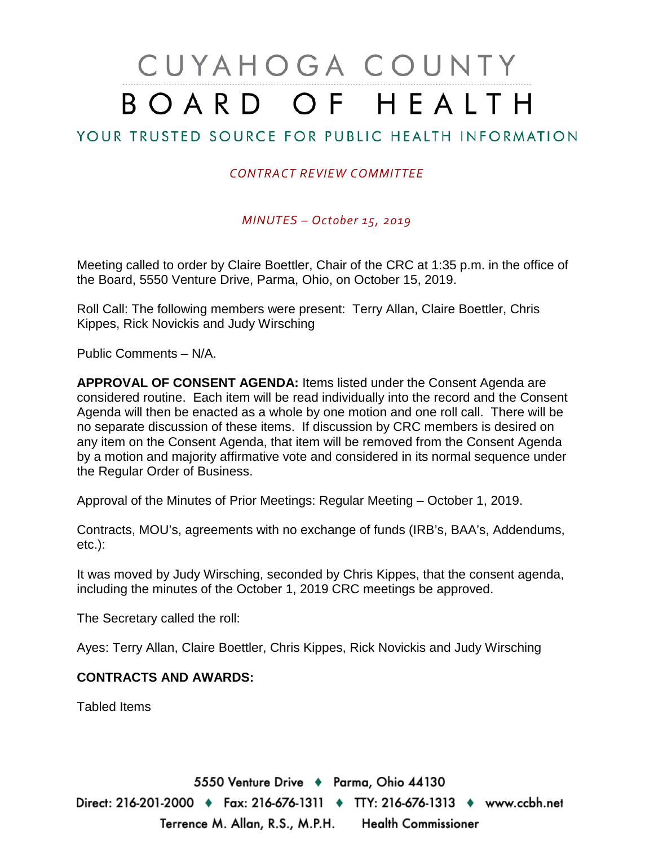# CUYAHOGA COUNTY BOARD OF HEALTH

## YOUR TRUSTED SOURCE FOR PUBLIC HEALTH INFORMATION

## *CONTRACT REVIEW COMMITTEE*

*MINUTES – October 15, 2019*

Meeting called to order by Claire Boettler, Chair of the CRC at 1:35 p.m. in the office of the Board, 5550 Venture Drive, Parma, Ohio, on October 15, 2019.

Roll Call: The following members were present: Terry Allan, Claire Boettler, Chris Kippes, Rick Novickis and Judy Wirsching

Public Comments – N/A.

**APPROVAL OF CONSENT AGENDA:** Items listed under the Consent Agenda are considered routine. Each item will be read individually into the record and the Consent Agenda will then be enacted as a whole by one motion and one roll call. There will be no separate discussion of these items. If discussion by CRC members is desired on any item on the Consent Agenda, that item will be removed from the Consent Agenda by a motion and majority affirmative vote and considered in its normal sequence under the Regular Order of Business.

Approval of the Minutes of Prior Meetings: Regular Meeting – October 1, 2019.

Contracts, MOU's, agreements with no exchange of funds (IRB's, BAA's, Addendums, etc.):

It was moved by Judy Wirsching, seconded by Chris Kippes, that the consent agenda, including the minutes of the October 1, 2019 CRC meetings be approved.

The Secretary called the roll:

Ayes: Terry Allan, Claire Boettler, Chris Kippes, Rick Novickis and Judy Wirsching

#### **CONTRACTS AND AWARDS:**

Tabled Items

5550 Venture Drive + Parma, Ohio 44130 Direct: 216-201-2000 ♦ Fax: 216-676-1311 ♦ TTY: 216-676-1313 ♦ www.ccbh.net Terrence M. Allan, R.S., M.P.H. Health Commissioner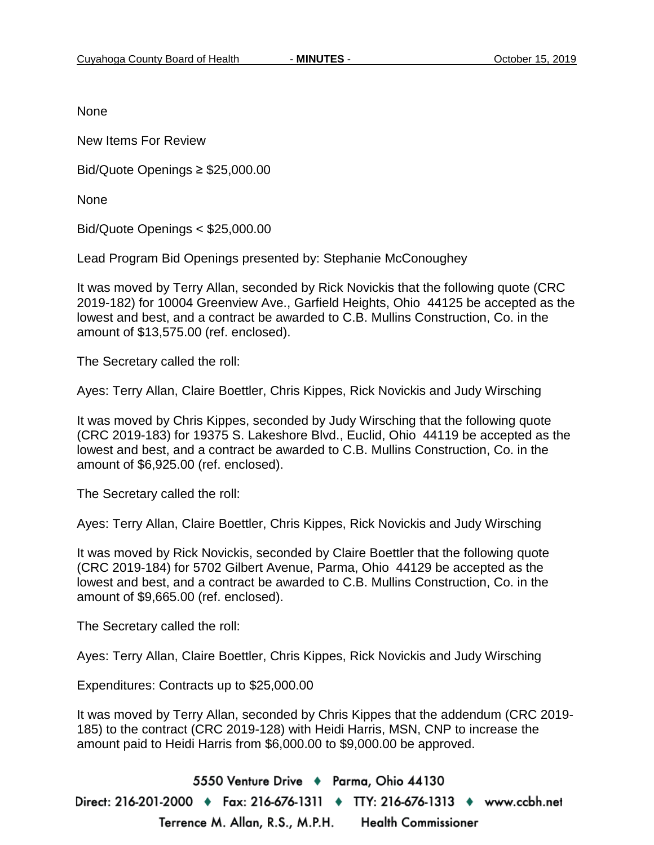None

New Items For Review

Bid/Quote Openings ≥ \$25,000.00

None

Bid/Quote Openings < \$25,000.00

Lead Program Bid Openings presented by: Stephanie McConoughey

It was moved by Terry Allan, seconded by Rick Novickis that the following quote (CRC 2019-182) for 10004 Greenview Ave., Garfield Heights, Ohio 44125 be accepted as the lowest and best, and a contract be awarded to C.B. Mullins Construction, Co. in the amount of \$13,575.00 (ref. enclosed).

The Secretary called the roll:

Ayes: Terry Allan, Claire Boettler, Chris Kippes, Rick Novickis and Judy Wirsching

It was moved by Chris Kippes, seconded by Judy Wirsching that the following quote (CRC 2019-183) for 19375 S. Lakeshore Blvd., Euclid, Ohio 44119 be accepted as the lowest and best, and a contract be awarded to C.B. Mullins Construction, Co. in the amount of \$6,925.00 (ref. enclosed).

The Secretary called the roll:

Ayes: Terry Allan, Claire Boettler, Chris Kippes, Rick Novickis and Judy Wirsching

It was moved by Rick Novickis, seconded by Claire Boettler that the following quote (CRC 2019-184) for 5702 Gilbert Avenue, Parma, Ohio 44129 be accepted as the lowest and best, and a contract be awarded to C.B. Mullins Construction, Co. in the amount of \$9,665.00 (ref. enclosed).

The Secretary called the roll:

Ayes: Terry Allan, Claire Boettler, Chris Kippes, Rick Novickis and Judy Wirsching

Expenditures: Contracts up to \$25,000.00

It was moved by Terry Allan, seconded by Chris Kippes that the addendum (CRC 2019- 185) to the contract (CRC 2019-128) with Heidi Harris, MSN, CNP to increase the amount paid to Heidi Harris from \$6,000.00 to \$9,000.00 be approved.

5550 Venture Drive + Parma, Ohio 44130 Direct: 216-201-2000 ♦ Fax: 216-676-1311 ♦ TTY: 216-676-1313 ♦ www.ccbh.net Terrence M. Allan, R.S., M.P.H. **Health Commissioner**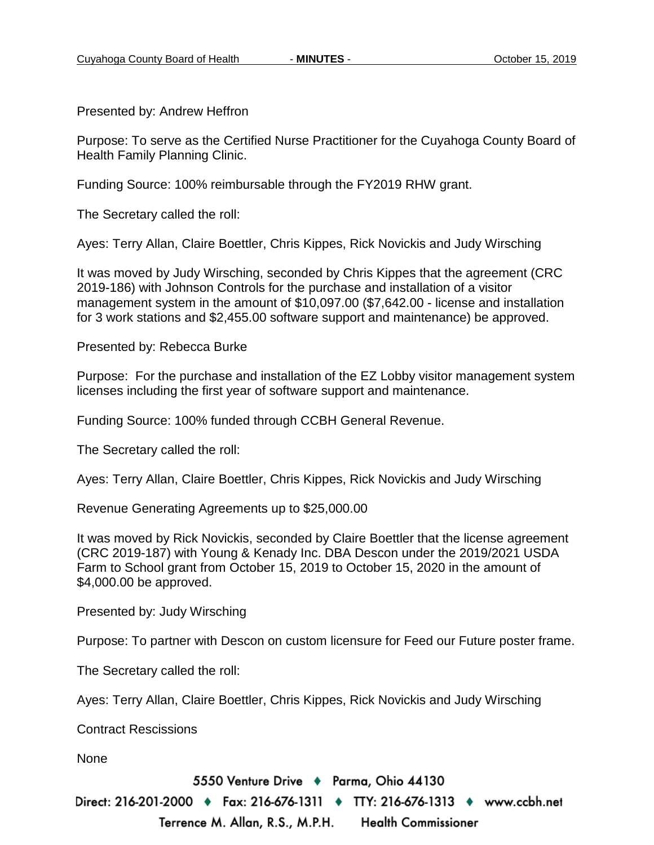Presented by: Andrew Heffron

Purpose: To serve as the Certified Nurse Practitioner for the Cuyahoga County Board of Health Family Planning Clinic.

Funding Source: 100% reimbursable through the FY2019 RHW grant.

The Secretary called the roll:

Ayes: Terry Allan, Claire Boettler, Chris Kippes, Rick Novickis and Judy Wirsching

It was moved by Judy Wirsching, seconded by Chris Kippes that the agreement (CRC 2019-186) with Johnson Controls for the purchase and installation of a visitor management system in the amount of \$10,097.00 (\$7,642.00 - license and installation for 3 work stations and \$2,455.00 software support and maintenance) be approved.

Presented by: Rebecca Burke

Purpose: For the purchase and installation of the EZ Lobby visitor management system licenses including the first year of software support and maintenance.

Funding Source: 100% funded through CCBH General Revenue.

The Secretary called the roll:

Ayes: Terry Allan, Claire Boettler, Chris Kippes, Rick Novickis and Judy Wirsching

Revenue Generating Agreements up to \$25,000.00

It was moved by Rick Novickis, seconded by Claire Boettler that the license agreement (CRC 2019-187) with Young & Kenady Inc. DBA Descon under the 2019/2021 USDA Farm to School grant from October 15, 2019 to October 15, 2020 in the amount of \$4,000.00 be approved.

Presented by: Judy Wirsching

Purpose: To partner with Descon on custom licensure for Feed our Future poster frame.

The Secretary called the roll:

Ayes: Terry Allan, Claire Boettler, Chris Kippes, Rick Novickis and Judy Wirsching

Contract Rescissions

None

5550 Venture Drive + Parma, Ohio 44130

Direct: 216-201-2000 ♦ Fax: 216-676-1311 ♦ TTY: 216-676-1313 ♦ www.ccbh.net Terrence M. Allan, R.S., M.P.H. Health Commissioner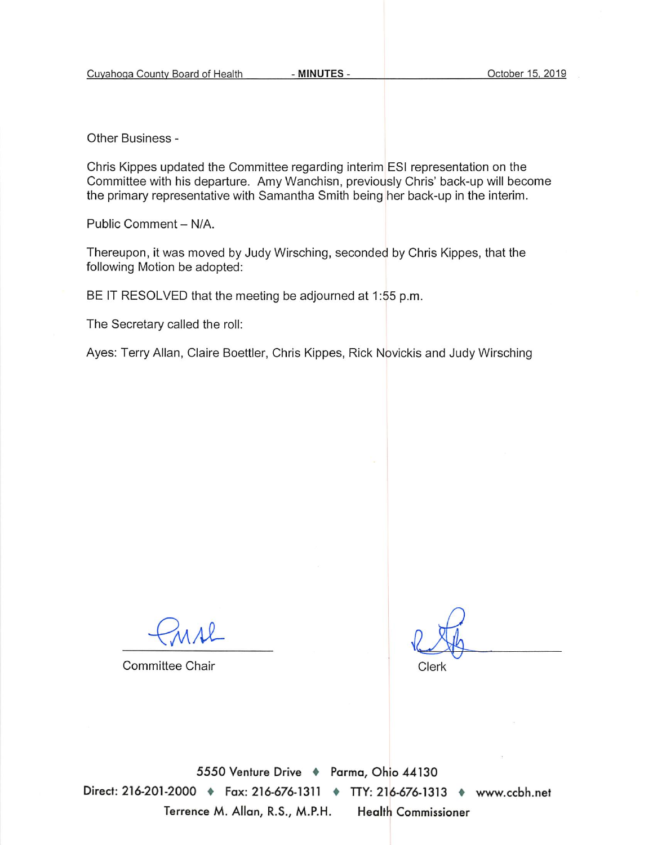Other Business -

Chris Kippes updated the Committee regarding interim ESI representation on the Committee with his departure. Amy Wanchisn, previously Chris' back-up will become the primary representative with Samantha Smith being her back-up in the interim.

Public Comment - N/A.

Thereupon, it was moved by Judy Wirsching, seconded by Chris Kippes, that the following Motion be adopted:

BE IT RESOLVED that the meeting be adjourned at 1:55 p.m.

The Secretary called the roll:

Ayes: Terry Allan, Claire Boettler, Chris Kippes, Rick Novickis and Judy Wirsching

**Committee Chair** 

Clerk

5550 Venture Drive + Parma, Ohio 44130 Direct: 216-201-2000 • Fax: 216-676-1311 • TTY: 216-676-1313 • www.ccbh.net Terrence M. Allan, R.S., M.P.H. **Health Commissioner**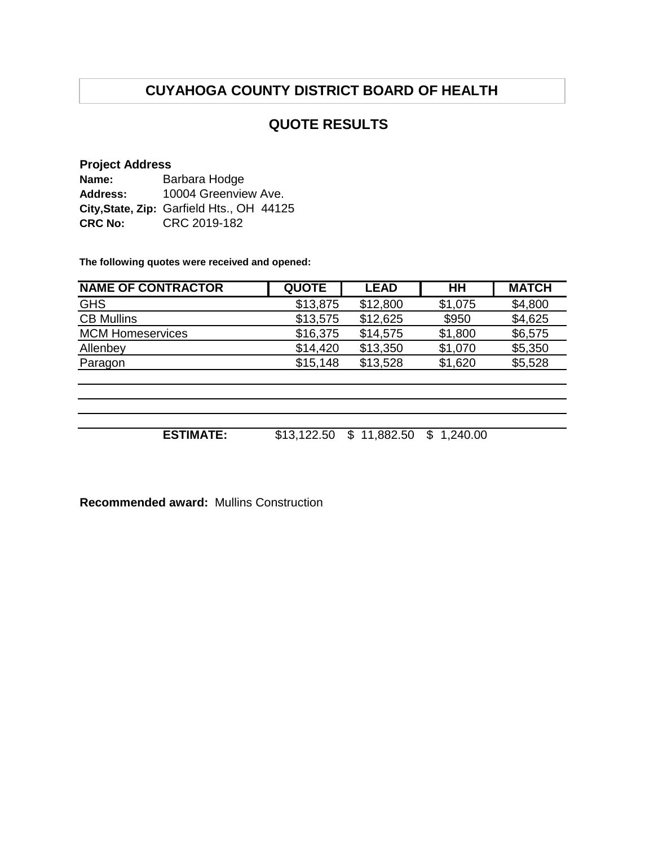# **CUYAHOGA COUNTY DISTRICT BOARD OF HEALTH**

## **QUOTE RESULTS**

### **Project Address**

| Name:          | Barbara Hodge                             |  |  |  |
|----------------|-------------------------------------------|--|--|--|
| Address:       | 10004 Greenview Ave.                      |  |  |  |
|                | City, State, Zip: Garfield Hts., OH 44125 |  |  |  |
| <b>CRC No:</b> | CRC 2019-182                              |  |  |  |

**The following quotes were received and opened:**

| <b>NAME OF CONTRACTOR</b> | <b>QUOTE</b> | <b>LEAD</b>     | HН             | <b>MATCH</b> |
|---------------------------|--------------|-----------------|----------------|--------------|
| <b>GHS</b>                | \$13,875     | \$12,800        | \$1,075        | \$4,800      |
| <b>CB Mullins</b>         | \$13,575     | \$12,625        | \$950          | \$4,625      |
| <b>MCM Homeservices</b>   | \$16,375     | \$14,575        | \$1,800        | \$6,575      |
| Allenbey                  | \$14,420     | \$13,350        | \$1,070        | \$5,350      |
| Paragon                   | \$15,148     | \$13,528        | \$1,620        | \$5,528      |
|                           |              |                 |                |              |
|                           |              |                 |                |              |
|                           |              |                 |                |              |
|                           |              |                 |                |              |
| <b>ESTIMATE:</b>          | \$13,122.50  | 11,882.50<br>\$ | 1,240.00<br>\$ |              |

**Recommended award:** Mullins Construction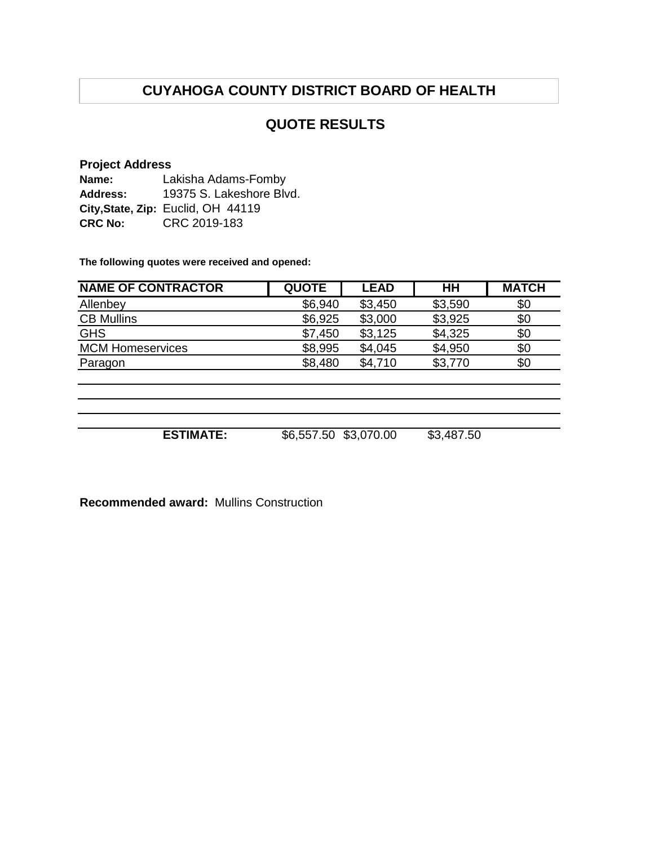# **CUYAHOGA COUNTY DISTRICT BOARD OF HEALTH**

## **QUOTE RESULTS**

### **Project Address**

| Name:           | Lakisha Adams-Fomby                |
|-----------------|------------------------------------|
| <b>Address:</b> | 19375 S. Lakeshore Blvd.           |
|                 | City, State, Zip: Euclid, OH 44119 |
| <b>CRC No:</b>  | CRC 2019-183                       |

**The following quotes were received and opened:**

| <b>NAME OF CONTRACTOR</b> | <b>QUOTE</b>          | <b>LEAD</b> | HH         | <b>MATCH</b> |
|---------------------------|-----------------------|-------------|------------|--------------|
| Allenbey                  | \$6,940               | \$3,450     | \$3,590    | \$0          |
| <b>CB Mullins</b>         | \$6,925               | \$3,000     | \$3,925    | \$0          |
| <b>GHS</b>                | \$7,450               | \$3,125     | \$4,325    | \$0          |
| <b>MCM Homeservices</b>   | \$8,995               | \$4,045     | \$4,950    | \$0          |
| Paragon                   | \$8,480               | \$4,710     | \$3,770    | \$0          |
|                           |                       |             |            |              |
|                           |                       |             |            |              |
|                           |                       |             |            |              |
|                           |                       |             |            |              |
| <b>ESTIMATE:</b>          | \$6,557.50 \$3,070.00 |             | \$3,487.50 |              |

**Recommended award:** Mullins Construction